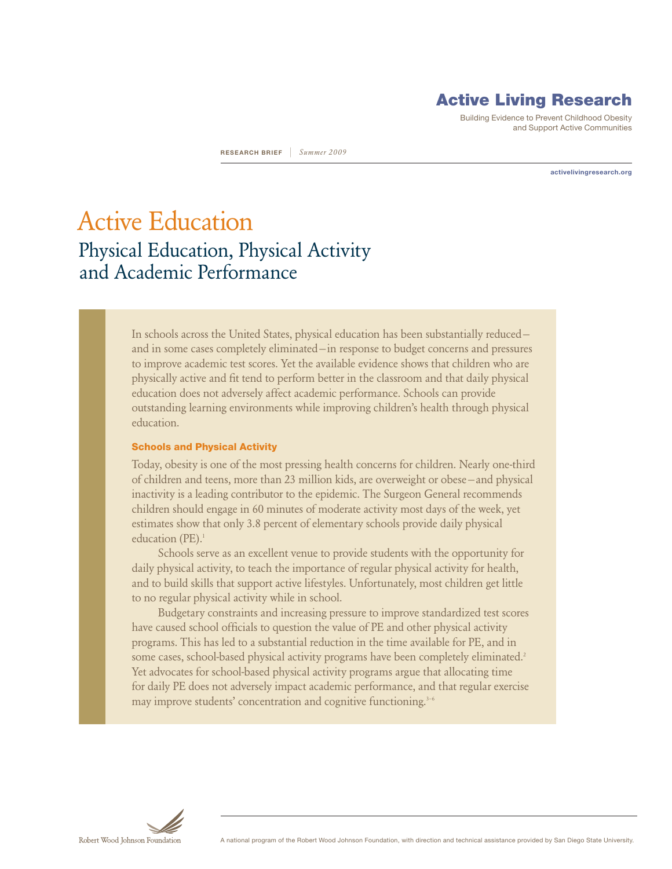# Active Living Research

Building Evidence to Prevent Childhood Obesity and Support Active Communities

**activelivingresearch.org**

**RESEARCH brief** | *Summer 2009*

Active Education Physical Education, Physical Activity and Academic Performance

> In schools across the United States, physical education has been substantially reduced and in some cases completely eliminated—in response to budget concerns and pressures to improve academic test scores. Yet the available evidence shows that children who are physically active and fit tend to perform better in the classroom and that daily physical education does not adversely affect academic performance. Schools can provide outstanding learning environments while improving children's health through physical education.

#### Schools and Physical Activity

Today, obesity is one of the most pressing health concerns for children. Nearly one-third of children and teens, more than 23 million kids, are overweight or obese—and physical inactivity is a leading contributor to the epidemic. The Surgeon General recommends children should engage in 60 minutes of moderate activity most days of the week, yet estimates show that only 3.8 percent of elementary schools provide daily physical education (PE).<sup>1</sup>

Schools serve as an excellent venue to provide students with the opportunity for daily physical activity, to teach the importance of regular physical activity for health, and to build skills that support active lifestyles. Unfortunately, most children get little to no regular physical activity while in school.

Budgetary constraints and increasing pressure to improve standardized test scores have caused school officials to question the value of PE and other physical activity programs. This has led to a substantial reduction in the time available for PE, and in some cases, school-based physical activity programs have been completely eliminated.<sup>2</sup> Yet advocates for school-based physical activity programs argue that allocating time for daily PE does not adversely impact academic performance, and that regular exercise may improve students' concentration and cognitive functioning.<sup>3-6</sup>

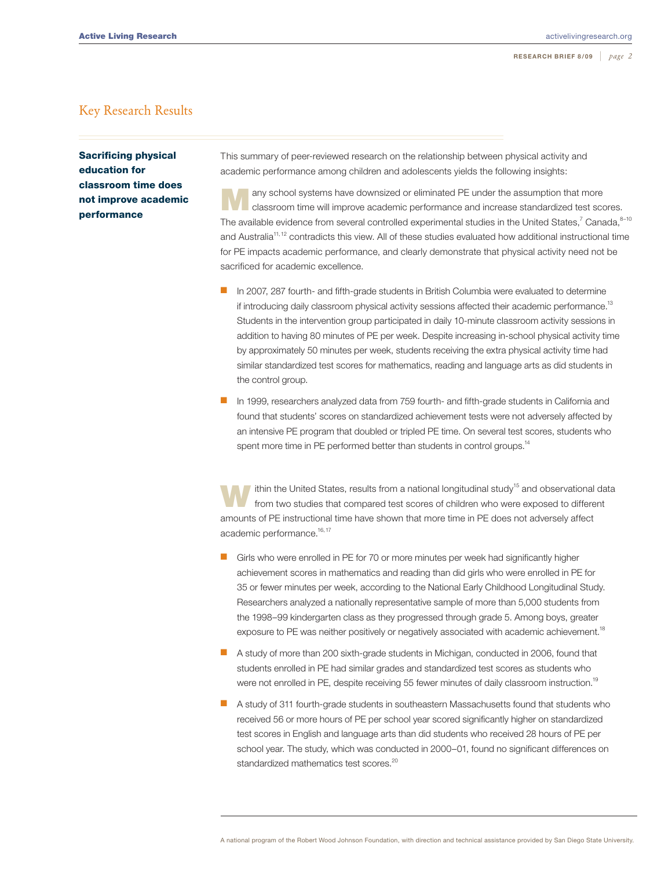#### Key Research Results

Sacrificing physical education for classroom time does not improve academic performance

This summary of peer-reviewed research on the relationship between physical activity and academic performance among children and adolescents yields the following insights:

any school systems have downsized or eliminated PE under the assumption that more classroom time will improve academic performance and increase standardized test scores. The available evidence from several controlled experimental studies in the United States,<sup>7</sup> Canada,<sup>8-10</sup> and Australia<sup>11,12</sup> contradicts this view. All of these studies evaluated how additional instructional time for PE impacts academic performance, and clearly demonstrate that physical activity need not be sacrificed for academic excellence.

- n In 2007, 287 fourth- and fifth-grade students in British Columbia were evaluated to determine if introducing daily classroom physical activity sessions affected their academic performance.<sup>13</sup> Students in the intervention group participated in daily 10-minute classroom activity sessions in addition to having 80 minutes of PE per week. Despite increasing in-school physical activity time by approximately 50 minutes per week, students receiving the extra physical activity time had similar standardized test scores for mathematics, reading and language arts as did students in the control group.
- **n** In 1999, researchers analyzed data from 759 fourth- and fifth-grade students in California and found that students' scores on standardized achievement tests were not adversely affected by an intensive PE program that doubled or tripled PE time. On several test scores, students who spent more time in PE performed better than students in control groups.<sup>14</sup>

ithin the United States, results from a national longitudinal study<sup>15</sup> and observational data from two studies that compared test scores of children who were exposed to different amounts of PE instructional time have shown that more time in PE does not adversely affect academic performance.<sup>16,17</sup>

- Girls who were enrolled in PE for 70 or more minutes per week had significantly higher achievement scores in mathematics and reading than did girls who were enrolled in PE for 35 or fewer minutes per week, according to the National Early Childhood Longitudinal Study. Researchers analyzed a nationally representative sample of more than 5,000 students from the 1998–99 kindergarten class as they progressed through grade 5. Among boys, greater exposure to PE was neither positively or negatively associated with academic achievement.<sup>18</sup>
- **n** A study of more than 200 sixth-grade students in Michigan, conducted in 2006, found that students enrolled in PE had similar grades and standardized test scores as students who were not enrolled in PE, despite receiving 55 fewer minutes of daily classroom instruction.<sup>19</sup>
- **n** A study of 311 fourth-grade students in southeastern Massachusetts found that students who received 56 or more hours of PE per school year scored significantly higher on standardized test scores in English and language arts than did students who received 28 hours of PE per school year. The study, which was conducted in 2000–01, found no significant differences on standardized mathematics test scores.<sup>20</sup>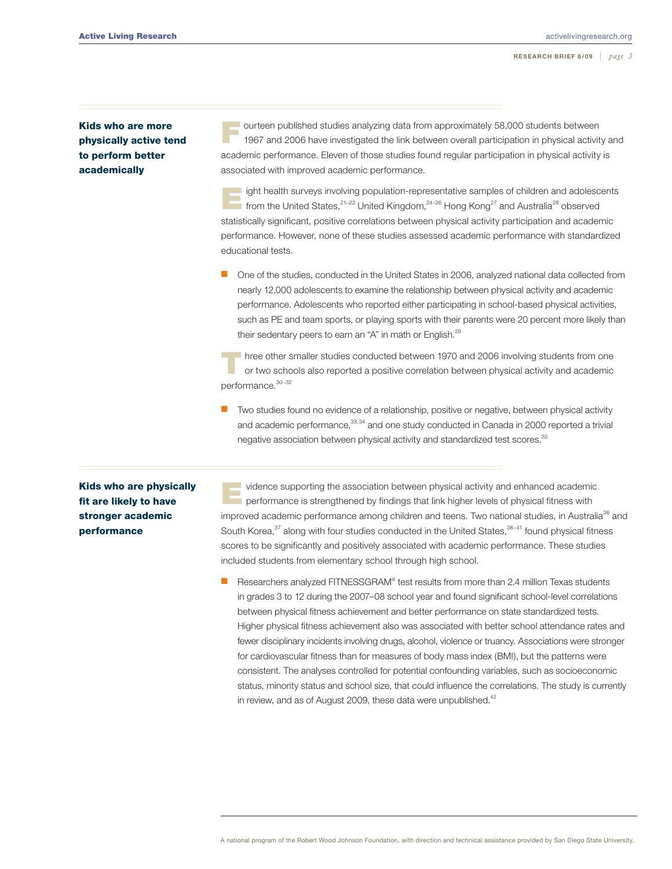### Kids who are more physically active tend to perform better academically

ourteen published studies analyzing data from approximately 58,000 students between 1967 and 2006 have investigated the link between overall participation in physical activity and academic performance. Eleven of those studies found regular participation in physical activity is associated with improved academic performance.

ight health surveys involving population-representative samples of children and adolescents from the United States,<sup>21–23</sup> United Kingdom,<sup>24–26</sup> Hong Kong<sup>27</sup> and Australia<sup>28</sup> observed statistically significant, positive correlations between physical activity participation and academic performance. However, none of these studies assessed academic performance with standardized educational tests.

One of the studies, conducted in the United States in 2006, analyzed national data collected from nearly 12,000 adolescents to examine the relationship between physical activity and academic performance. Adolescents who reported either participating in school-based physical activities, such as PE and team sports, or playing sports with their parents were 20 percent more likely than their sedentary peers to earn an "A" in math or English.<sup>29</sup>

Three other smaller studies conducted between 1970 and 2006 involving students from one or two schools also reported a positive correlation between physical activity and academic performance.<sup>30-32</sup>

Two studies found no evidence of a relationship, positive or negative, between physical activity and academic performance, 33,34 and one study conducted in Canada in 2000 reported a trivial negative association between physical activity and standardized test scores.<sup>35</sup>

Kids who are physically fit are likely to have stronger academic performance

vidence supporting the association between physical activity and enhanced academic<br>performance is strengthened by findings that link higher levels of physical fitness with improved academic performance among children and teens. Two national studies, in Australia<sup>36</sup> and South Korea, $37$  along with four studies conducted in the United States, $38-41$  found physical fitness scores to be significantly and positively associated with academic performance. These studies included students from elementary school through high school.

 $\blacksquare$  Researchers analyzed FITNESSGRAM® test results from more than 2.4 million Texas students in grades 3 to 12 during the 2007–08 school year and found significant school-level correlations between physical fitness achievement and better performance on state standardized tests. Higher physical fitness achievement also was associated with better school attendance rates and fewer disciplinary incidents involving drugs, alcohol, violence or truancy. Associations were stronger for cardiovascular fitness than for measures of body mass index (BMI), but the patterns were consistent. The analyses controlled for potential confounding variables, such as socioeconomic status, minority status and school size, that could influence the correlations. The study is currently in review, and as of August 2009, these data were unpublished.<sup>42</sup>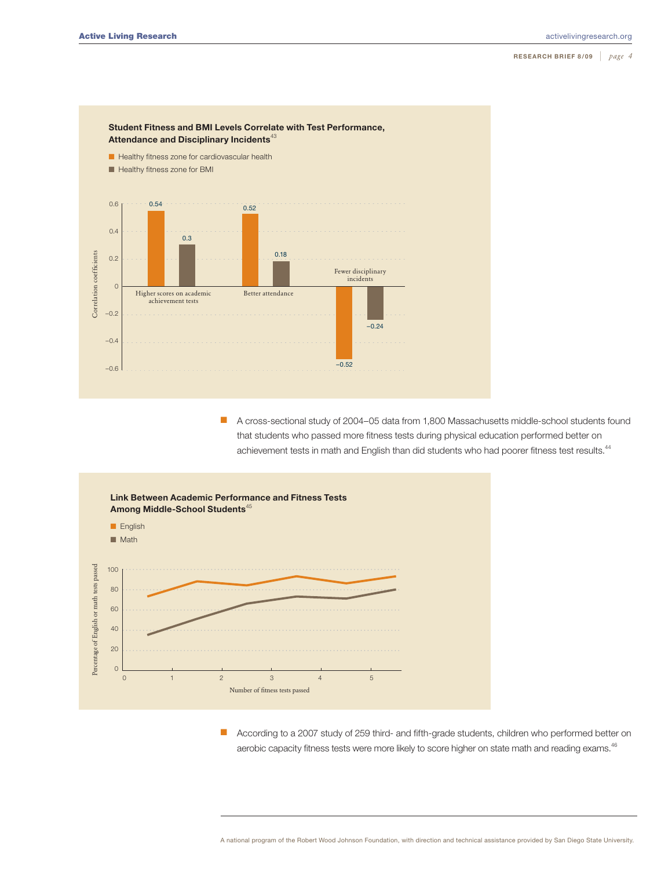

■ A cross-sectional study of 2004–05 data from 1,800 Massachusetts middle-school students found that students who passed more fitness tests during physical education performed better on achievement tests in math and English than did students who had poorer fitness test results.<sup>44</sup>



**n** According to a 2007 study of 259 third- and fifth-grade students, children who performed better on aerobic capacity fitness tests were more likely to score higher on state math and reading exams.<sup>46</sup>

A national program of the Robert Wood Johnson Foundation, with direction and technical assistance provided by San Diego State University.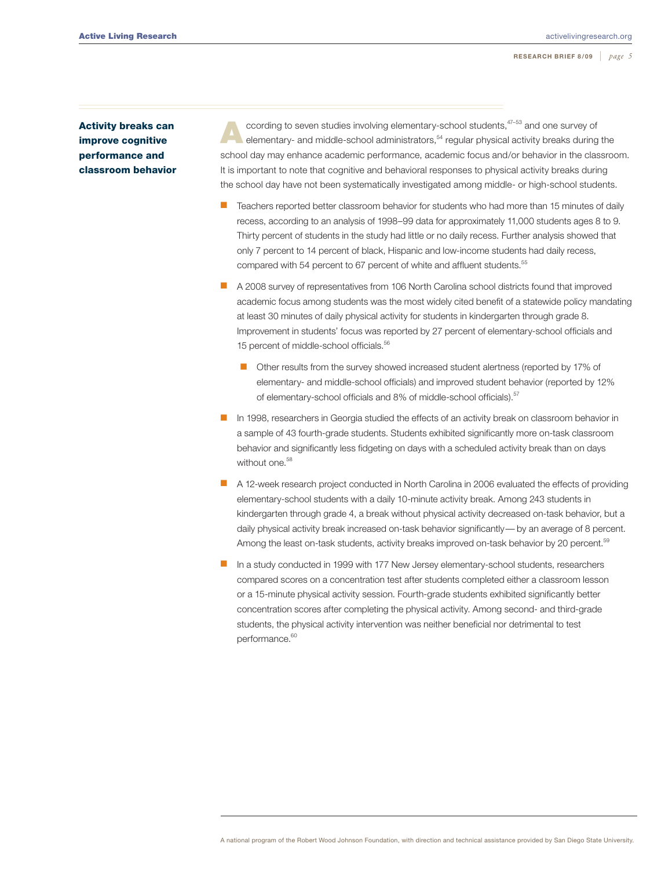Activity breaks can improve cognitive performance and classroom behavior

cording to seven studies involving elementary-school students,<sup>47–53</sup> and one survey of elementary- and middle-school administrators,<sup>54</sup> regular physical activity breaks during the school day may enhance academic performance, academic focus and/or behavior in the classroom. It is important to note that cognitive and behavioral responses to physical activity breaks during the school day have not been systematically investigated among middle- or high-school students.

- n Teachers reported better classroom behavior for students who had more than 15 minutes of daily recess, according to an analysis of 1998–99 data for approximately 11,000 students ages 8 to 9. Thirty percent of students in the study had little or no daily recess. Further analysis showed that only 7 percent to 14 percent of black, Hispanic and low-income students had daily recess, compared with 54 percent to 67 percent of white and affluent students.<sup>55</sup>
- n A 2008 survey of representatives from 106 North Carolina school districts found that improved academic focus among students was the most widely cited benefit of a statewide policy mandating at least 30 minutes of daily physical activity for students in kindergarten through grade 8. Improvement in students' focus was reported by 27 percent of elementary-school officials and 15 percent of middle-school officials.<sup>56</sup>
	- Other results from the survey showed increased student alertness (reported by 17% of elementary- and middle-school officials) and improved student behavior (reported by 12% of elementary-school officials and 8% of middle-school officials).<sup>57</sup>
- n In 1998, researchers in Georgia studied the effects of an activity break on classroom behavior in a sample of 43 fourth-grade students. Students exhibited significantly more on-task classroom behavior and significantly less fidgeting on days with a scheduled activity break than on days without one.<sup>58</sup>
- n A 12-week research project conducted in North Carolina in 2006 evaluated the effects of providing elementary-school students with a daily 10-minute activity break. Among 243 students in kindergarten through grade 4, a break without physical activity decreased on-task behavior, but a daily physical activity break increased on-task behavior significantly— by an average of 8 percent. Among the least on-task students, activity breaks improved on-task behavior by 20 percent.<sup>59</sup>
- In a study conducted in 1999 with 177 New Jersey elementary-school students, researchers compared scores on a concentration test after students completed either a classroom lesson or a 15-minute physical activity session. Fourth-grade students exhibited significantly better concentration scores after completing the physical activity. Among second- and third-grade students, the physical activity intervention was neither beneficial nor detrimental to test performance.<sup>60</sup>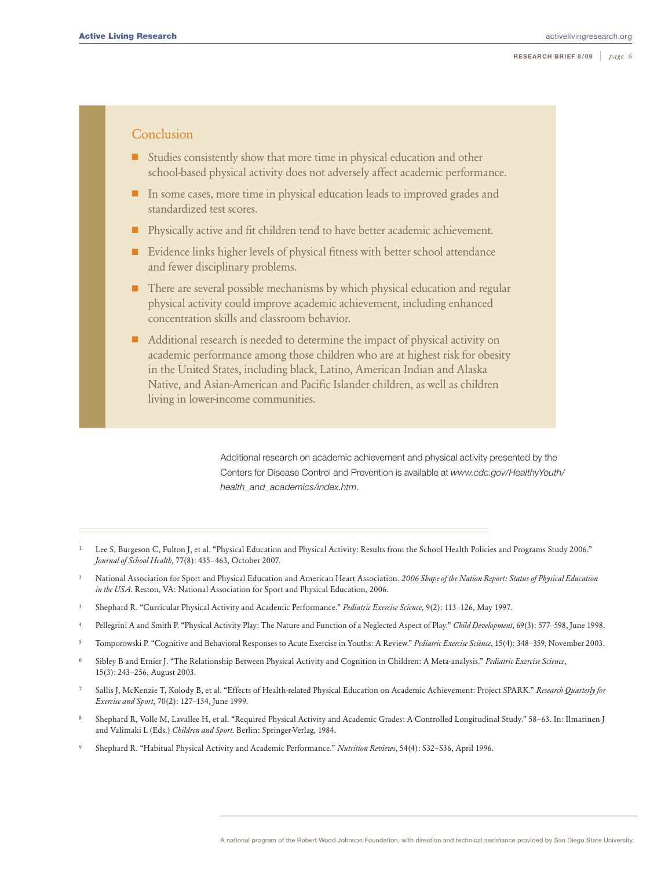## Conclusion

- $\blacksquare$  Studies consistently show that more time in physical education and other school-based physical activity does not adversely affect academic performance.
- $\blacksquare$  In some cases, more time in physical education leads to improved grades and standardized test scores.
- **n** Physically active and fit children tend to have better academic achievement.
- $\blacksquare$  Evidence links higher levels of physical fitness with better school attendance and fewer disciplinary problems.
- $\blacksquare$  There are several possible mechanisms by which physical education and regular physical activity could improve academic achievement, including enhanced concentration skills and classroom behavior.
- n Additional research is needed to determine the impact of physical activity on academic performance among those children who are at highest risk for obesity in the United States, including black, Latino, American Indian and Alaska Native, and Asian-American and Pacific Islander children, as well as children living in lower-income communities.

Additional research on academic achievement and physical activity presented by the Centers for Disease Control and Prevention is available at *[www.cdc.gov/HealthyYouth/](www.cdc.gov/HealthyYouth/health_and_academics/index.htm) [health\\_and\\_academics/index.htm](www.cdc.gov/HealthyYouth/health_and_academics/index.htm)*.

- <sup>1</sup> Lee S, Burgeson C, Fulton J, et al. "Physical Education and Physical Activity: Results from the School Health Policies and Programs Study 2006." *Journal of School Health*, 77(8): 435–463, October 2007.
- <sup>2</sup> National Association for Sport and Physical Education and American Heart Association. *2006 Shape of the Nation Report: Status of Physical Education in the USA*. Reston, VA: National Association for Sport and Physical Education, 2006.
- <sup>3</sup> Shephard R. "Curricular Physical Activity and Academic Performance." *Pediatric Exercise Science*, 9(2): 113–126, May 1997.
- <sup>4</sup> Pellegrini A and Smith P. "Physical Activity Play: The Nature and Function of a Neglected Aspect of Play." *Child Development*, 69(3): 577–598, June 1998.
- <sup>5</sup> Tomporowski P. "Cognitive and Behavioral Responses to Acute Exercise in Youths: A Review." *Pediatric Exercise Science*, 15(4): 348–359, November 2003.
- <sup>6</sup> Sibley B and Etnier J. "The Relationship Between Physical Activity and Cognition in Children: A Meta-analysis." *Pediatric Exercise Science*, 15(3): 243–256, August 2003.
- <sup>7</sup> Sallis J, McKenzie T, Kolody B, et al. "Effects of Health-related Physical Education on Academic Achievement: Project SPARK." *Research Quarterly for Exercise and Sport*, 70(2): 127–134, June 1999.
- <sup>8</sup> Shephard R, Volle M, Lavallee H, et al. "Required Physical Activity and Academic Grades: A Controlled Longitudinal Study." 58–63. In: Ilmarinen J and Valimaki L (Eds.) *Children and Sport*. Berlin: Springer-Verlag, 1984.
- <sup>9</sup> Shephard R. "Habitual Physical Activity and Academic Performance." *Nutrition Reviews*, 54(4): S32–S36, April 1996.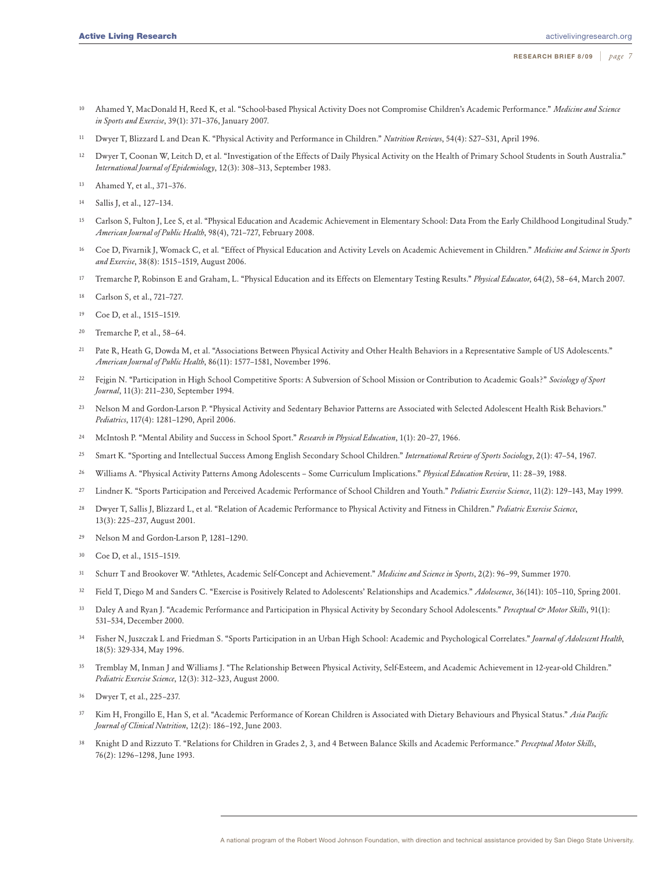- <sup>10</sup> Ahamed Y, MacDonald H, Reed K, et al. "School-based Physical Activity Does not Compromise Children's Academic Performance." *Medicine and Science in Sports and Exercise*, 39(1): 371–376, January 2007.
- <sup>11</sup> Dwyer T, Blizzard L and Dean K. "Physical Activity and Performance in Children." *Nutrition Reviews*, 54(4): S27–S31, April 1996.
- <sup>12</sup> Dwyer T, Coonan W, Leitch D, et al. "Investigation of the Effects of Daily Physical Activity on the Health of Primary School Students in South Australia." *International Journal of Epidemiology*, 12(3): 308–313, September 1983.
- <sup>13</sup> Ahamed Y, et al., 371–376.
- <sup>14</sup> Sallis J, et al., 127–134.
- <sup>15</sup> Carlson S, Fulton J, Lee S, et al. "Physical Education and Academic Achievement in Elementary School: Data From the Early Childhood Longitudinal Study." *American Journal of Public Health*, 98(4), 721–727, February 2008.
- <sup>16</sup> Coe D, Pivarnik J, Womack C, et al. "Effect of Physical Education and Activity Levels on Academic Achievement in Children." *Medicine and Science in Sports and Exercise*, 38(8): 1515–1519, August 2006.
- <sup>17</sup> Tremarche P, Robinson E and Graham, L. "Physical Education and its Effects on Elementary Testing Results." *Physical Educator*, 64(2), 58–64, March 2007.
- <sup>18</sup> Carlson S, et al., 721–727.
- <sup>19</sup> Coe D, et al., 1515–1519.
- <sup>20</sup> Tremarche P, et al., 58–64.
- <sup>21</sup> Pate R, Heath G, Dowda M, et al. "Associations Between Physical Activity and Other Health Behaviors in a Representative Sample of US Adolescents." *American Journal of Public Health*, 86(11): 1577–1581, November 1996.
- <sup>22</sup> Fejgin N. "Participation in High School Competitive Sports: A Subversion of School Mission or Contribution to Academic Goals?" *Sociology of Sport Journal*, 11(3): 211–230, September 1994.
- <sup>23</sup> Nelson M and Gordon-Larson P. "Physical Activity and Sedentary Behavior Patterns are Associated with Selected Adolescent Health Risk Behaviors." *Pediatrics*, 117(4): 1281–1290, April 2006.
- <sup>24</sup> McIntosh P. "Mental Ability and Success in School Sport." *Research in Physical Education*, 1(1): 20–27, 1966.
- <sup>25</sup> Smart K. "Sporting and Intellectual Success Among English Secondary School Children." *International Review of Sports Sociology*, 2(1): 47–54, 1967.
- <sup>26</sup> Williams A. "Physical Activity Patterns Among Adolescents Some Curriculum Implications." *Physical Education Review*, 11: 28–39, 1988.
- <sup>27</sup> Lindner K. "Sports Participation and Perceived Academic Performance of School Children and Youth." *Pediatric Exercise Science*, 11(2): 129–143, May 1999.
- <sup>28</sup> Dwyer T, Sallis J, Blizzard L, et al. "Relation of Academic Performance to Physical Activity and Fitness in Children." *Pediatric Exercise Science*, 13(3): 225–237, August 2001.
- <sup>29</sup> Nelson M and Gordon-Larson P, 1281–1290.
- <sup>30</sup> Coe D, et al., 1515–1519.
- <sup>31</sup> Schurr T and Brookover W. "Athletes, Academic Self-Concept and Achievement." *Medicine and Science in Sports*, 2(2): 96–99, Summer 1970.
- <sup>32</sup> Field T, Diego M and Sanders C. "Exercise is Positively Related to Adolescents' Relationships and Academics." *Adolescence*, 36(141): 105–110, Spring 2001.
- <sup>33</sup> Daley A and Ryan J. "Academic Performance and Participation in Physical Activity by Secondary School Adolescents." *Perceptual & Motor Skills*, 91(1): 531–534, December 2000.
- <sup>34</sup> Fisher N, Juszczak L and Friedman S. "Sports Participation in an Urban High School: Academic and Psychological Correlates." *Journal of Adolescent Health*, 18(5): 329-334, May 1996.
- <sup>35</sup> Tremblay M, Inman J and Williams J. "The Relationship Between Physical Activity, Self-Esteem, and Academic Achievement in 12-year-old Children." *Pediatric Exercise Science*, 12(3): 312–323, August 2000.
- <sup>36</sup> Dwyer T, et al., 225–237.
- <sup>37</sup> Kim H, Frongillo E, Han S, et al. "Academic Performance of Korean Children is Associated with Dietary Behaviours and Physical Status." *Asia Pacific Journal of Clinical Nutrition*, 12(2): 186–192, June 2003.
- <sup>38</sup> Knight D and Rizzuto T. "Relations for Children in Grades 2, 3, and 4 Between Balance Skills and Academic Performance." *Perceptual Motor Skills*, 76(2): 1296–1298, June 1993.